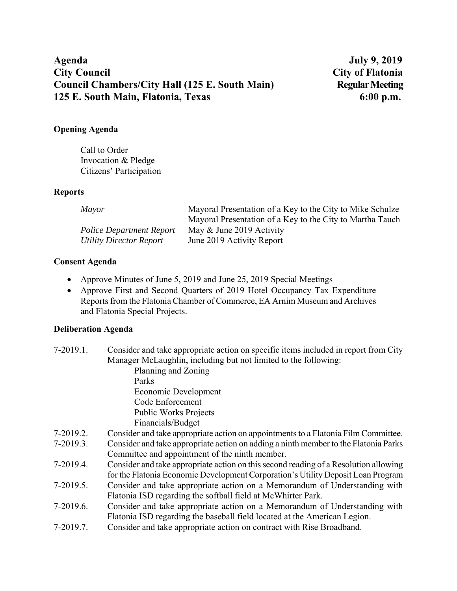# **Agenda July 9, 2019 City Council City of Flatonia Council Chambers/City Hall (125 E. South Main) Regular Meeting 125 E. South Main, Flatonia, Texas 6:00 p.m.**

## **Opening Agenda**

Call to Order Invocation & Pledge Citizens' Participation

### **Reports**

| <i>Mayor</i>                    | Mayoral Presentation of a Key to the City to Mike Schulze |
|---------------------------------|-----------------------------------------------------------|
|                                 | Mayoral Presentation of a Key to the City to Martha Tauch |
| <b>Police Department Report</b> | May & June 2019 Activity                                  |
| Utility Director Report         | June 2019 Activity Report                                 |

## **Consent Agenda**

- Approve Minutes of June 5, 2019 and June 25, 2019 Special Meetings
- Approve First and Second Quarters of 2019 Hotel Occupancy Tax Expenditure Reports from the Flatonia Chamber of Commerce, EA Arnim Museum and Archives and Flatonia Special Projects.

# **Deliberation Agenda**

| $7-2019.1.$ | Consider and take appropriate action on specific items included in report from City  |
|-------------|--------------------------------------------------------------------------------------|
|             | Manager McLaughlin, including but not limited to the following:                      |
|             | Planning and Zoning                                                                  |
|             | Parks                                                                                |
|             | Economic Development                                                                 |
|             | Code Enforcement                                                                     |
|             | <b>Public Works Projects</b>                                                         |
|             | Financials/Budget                                                                    |
| 7-2019.2.   | Consider and take appropriate action on appointments to a Flatonia Film Committee.   |
| 7-2019.3.   | Consider and take appropriate action on adding a ninth member to the Flatonia Parks  |
|             | Committee and appointment of the ninth member.                                       |
| 7-2019.4.   | Consider and take appropriate action on this second reading of a Resolution allowing |
|             | for the Flatonia Economic Development Corporation's Utility Deposit Loan Program     |
| $7-2019.5.$ | Consider and take appropriate action on a Memorandum of Understanding with           |
|             | Flatonia ISD regarding the softball field at McWhirter Park.                         |
| 7-2019.6.   | Consider and take appropriate action on a Memorandum of Understanding with           |
|             | Flatonia ISD regarding the baseball field located at the American Legion.            |

7-2019.7. Consider and take appropriate action on contract with Rise Broadband.